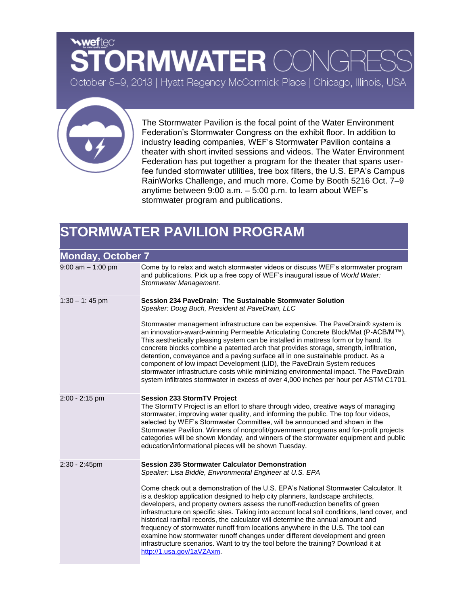## **weftec DRMWATER COM** October 5-9, 2013 | Hyatt Regency McCormick Place | Chicago, Illinois, USA



The Stormwater Pavilion is the focal point of the Water Environment Federation's Stormwater Congress on the exhibit floor. In addition to industry leading companies, WEF's Stormwater Pavilion contains a theater with short invited sessions and videos. The Water Environment Federation has put together a program for the theater that spans userfee funded stormwater utilities, tree box filters, the U.S. EPA's Campus RainWorks Challenge, and much more. Come by Booth 5216 Oct. 7–9 anytime between 9:00 a.m. – 5:00 p.m. to learn about WEF's stormwater program and publications.

## **STORMWATER PAVILION PROGRAM**

| <b>Monday, October 7</b> |                                                                                                                                                                                                                                                                                                                                                                                                                                                                                                                                                                                                                                                                                                                                 |  |
|--------------------------|---------------------------------------------------------------------------------------------------------------------------------------------------------------------------------------------------------------------------------------------------------------------------------------------------------------------------------------------------------------------------------------------------------------------------------------------------------------------------------------------------------------------------------------------------------------------------------------------------------------------------------------------------------------------------------------------------------------------------------|--|
| $9:00$ am $-1:00$ pm     | Come by to relax and watch stormwater videos or discuss WEF's stormwater program<br>and publications. Pick up a free copy of WEF's inaugural issue of World Water:<br>Stormwater Management.                                                                                                                                                                                                                                                                                                                                                                                                                                                                                                                                    |  |
| $1:30 - 1:45$ pm         | Session 234 PaveDrain: The Sustainable Stormwater Solution<br>Speaker: Doug Buch, President at PaveDrain, LLC                                                                                                                                                                                                                                                                                                                                                                                                                                                                                                                                                                                                                   |  |
|                          | Stormwater management infrastructure can be expensive. The PaveDrain® system is<br>an innovation-award-winning Permeable Articulating Concrete Block/Mat (P-ACB/M™).<br>This aesthetically pleasing system can be installed in mattress form or by hand. Its<br>concrete blocks combine a patented arch that provides storage, strength, infiltration,<br>detention, conveyance and a paving surface all in one sustainable product. As a<br>component of low impact Development (LID), the PaveDrain System reduces<br>stormwater infrastructure costs while minimizing environmental impact. The PaveDrain<br>system infiltrates stormwater in excess of over 4,000 inches per hour per ASTM C1701.                           |  |
| 2:00 - 2:15 pm           | <b>Session 233 StormTV Project</b><br>The StormTV Project is an effort to share through video, creative ways of managing<br>stormwater, improving water quality, and informing the public. The top four videos,<br>selected by WEF's Stormwater Committee, will be announced and shown in the<br>Stormwater Pavilion. Winners of nonprofit/government programs and for-profit projects<br>categories will be shown Monday, and winners of the stormwater equipment and public<br>education/informational pieces will be shown Tuesday.                                                                                                                                                                                          |  |
| 2:30 - 2:45pm            | <b>Session 235 Stormwater Calculator Demonstration</b><br>Speaker: Lisa Biddle, Environmental Engineer at U.S. EPA                                                                                                                                                                                                                                                                                                                                                                                                                                                                                                                                                                                                              |  |
|                          | Come check out a demonstration of the U.S. EPA's National Stormwater Calculator. It<br>is a desktop application designed to help city planners, landscape architects,<br>developers, and property owners assess the runoff-reduction benefits of green<br>infrastructure on specific sites. Taking into account local soil conditions, land cover, and<br>historical rainfall records, the calculator will determine the annual amount and<br>frequency of stormwater runoff from locations anywhere in the U.S. The tool can<br>examine how stormwater runoff changes under different development and green<br>infrastructure scenarios. Want to try the tool before the training? Download it at<br>http://1.usa.gov/1aVZAxm. |  |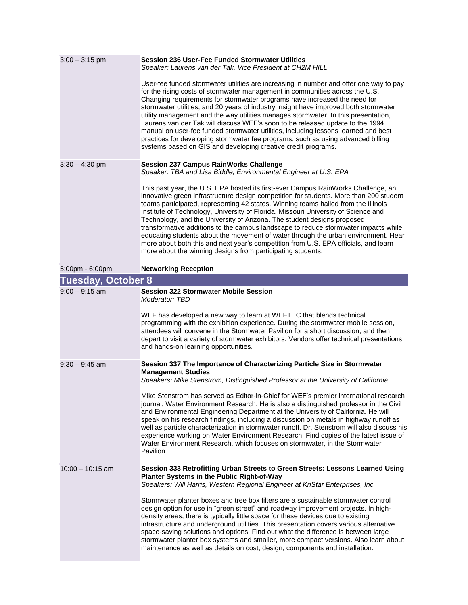| $3:00 - 3:15$ pm          | <b>Session 236 User-Fee Funded Stormwater Utilities</b><br>Speaker: Laurens van der Tak, Vice President at CH2M HILL                                                                                                                                                                                                                                                                                                                                                                                                                                                                                                                                                                                                                                                  |
|---------------------------|-----------------------------------------------------------------------------------------------------------------------------------------------------------------------------------------------------------------------------------------------------------------------------------------------------------------------------------------------------------------------------------------------------------------------------------------------------------------------------------------------------------------------------------------------------------------------------------------------------------------------------------------------------------------------------------------------------------------------------------------------------------------------|
|                           | User-fee funded stormwater utilities are increasing in number and offer one way to pay<br>for the rising costs of stormwater management in communities across the U.S.<br>Changing requirements for stormwater programs have increased the need for<br>stormwater utilities, and 20 years of industry insight have improved both stormwater<br>utility management and the way utilities manages stormwater. In this presentation,<br>Laurens van der Tak will discuss WEF's soon to be released update to the 1994<br>manual on user-fee funded stormwater utilities, including lessons learned and best<br>practices for developing stormwater fee programs, such as using advanced billing<br>systems based on GIS and developing creative credit programs.         |
| $3:30 - 4:30$ pm          | <b>Session 237 Campus RainWorks Challenge</b><br>Speaker: TBA and Lisa Biddle, Environmental Engineer at U.S. EPA                                                                                                                                                                                                                                                                                                                                                                                                                                                                                                                                                                                                                                                     |
|                           | This past year, the U.S. EPA hosted its first-ever Campus RainWorks Challenge, an<br>innovative green infrastructure design competition for students. More than 200 student<br>teams participated, representing 42 states. Winning teams hailed from the Illinois<br>Institute of Technology, University of Florida, Missouri University of Science and<br>Technology, and the University of Arizona. The student designs proposed<br>transformative additions to the campus landscape to reduce stormwater impacts while<br>educating students about the movement of water through the urban environment. Hear<br>more about both this and next year's competition from U.S. EPA officials, and learn<br>more about the winning designs from participating students. |
| 5:00pm - 6:00pm           | <b>Networking Reception</b>                                                                                                                                                                                                                                                                                                                                                                                                                                                                                                                                                                                                                                                                                                                                           |
| <b>Tuesday, October 8</b> |                                                                                                                                                                                                                                                                                                                                                                                                                                                                                                                                                                                                                                                                                                                                                                       |
| $9:00 - 9:15$ am          | <b>Session 322 Stormwater Mobile Session</b><br>Moderator: TBD<br>WEF has developed a new way to learn at WEFTEC that blends technical<br>programming with the exhibition experience. During the stormwater mobile session,<br>attendees will convene in the Stormwater Pavilion for a short discussion, and then<br>depart to visit a variety of stormwater exhibitors. Vendors offer technical presentations<br>and hands-on learning opportunities.                                                                                                                                                                                                                                                                                                                |
| $9:30 - 9:45$ am          | Session 337 The Importance of Characterizing Particle Size in Stormwater<br><b>Management Studies</b><br>Speakers: Mike Stenstrom, Distinguished Professor at the University of California                                                                                                                                                                                                                                                                                                                                                                                                                                                                                                                                                                            |
|                           | Mike Stenstrom has served as Editor-in-Chief for WEF's premier international research<br>journal, Water Environment Research. He is also a distinguished professor in the Civil<br>and Environmental Engineering Department at the University of California. He will<br>speak on his research findings, including a discussion on metals in highway runoff as<br>well as particle characterization in stormwater runoff. Dr. Stenstrom will also discuss his<br>experience working on Water Environment Research. Find copies of the latest issue of<br>Water Environment Research, which focuses on stormwater, in the Stormwater<br>Pavilion.                                                                                                                       |
| $10:00 - 10:15$ am        | Session 333 Retrofitting Urban Streets to Green Streets: Lessons Learned Using<br>Planter Systems in the Public Right-of-Way<br>Speakers: Will Harris, Western Regional Engineer at KriStar Enterprises, Inc.                                                                                                                                                                                                                                                                                                                                                                                                                                                                                                                                                         |
|                           | Stormwater planter boxes and tree box filters are a sustainable stormwater control<br>design option for use in "green street" and roadway improvement projects. In high-<br>density areas, there is typically little space for these devices due to existing<br>infrastructure and underground utilities. This presentation covers various alternative<br>space-saving solutions and options. Find out what the difference is between large<br>stormwater planter box systems and smaller, more compact versions. Also learn about<br>maintenance as well as details on cost, design, components and installation.                                                                                                                                                    |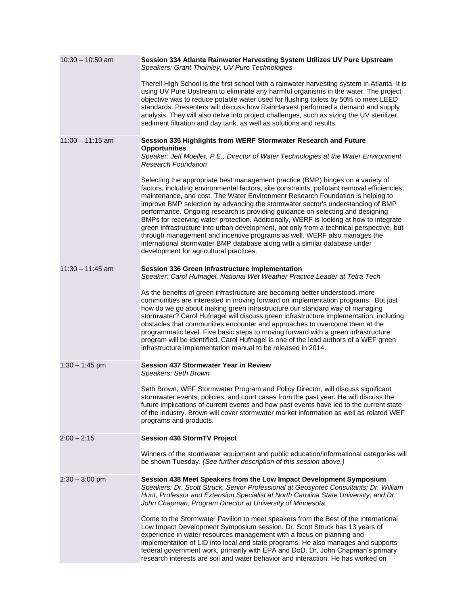| $10:30 - 10:50$ am | Session 334 Atlanta Rainwater Harvesting System Utilizes UV Pure Upstream<br>Speakers: Grant Thornley, UV Pure Technologies                                                                                                                                                                                                                                                                                                                                                                                                                                                                                                                                                                                                                                                                                                    |
|--------------------|--------------------------------------------------------------------------------------------------------------------------------------------------------------------------------------------------------------------------------------------------------------------------------------------------------------------------------------------------------------------------------------------------------------------------------------------------------------------------------------------------------------------------------------------------------------------------------------------------------------------------------------------------------------------------------------------------------------------------------------------------------------------------------------------------------------------------------|
|                    | Therell High School is the first school with a rainwater harvesting system in Atlanta. It is<br>using UV Pure Upstream to eliminate any harmful organisms in the water. The project<br>objective was to reduce potable water used for flushing toilets by 50% to meet LEED<br>standards. Presenters will discuss how RainHarvest performed a demand and supply<br>analysis. They will also delve into project challenges, such as sizing the UV sterilizer,<br>sediment filtration and day tank, as well as solutions and results.                                                                                                                                                                                                                                                                                             |
| $11:00 - 11:15$ am | Session 335 Highlights from WERF Stormwater Research and Future<br><b>Opportunities</b>                                                                                                                                                                                                                                                                                                                                                                                                                                                                                                                                                                                                                                                                                                                                        |
|                    | Speaker: Jeff Moeller, P.E., Director of Water Technologies at the Water Environment<br><b>Research Foundation</b>                                                                                                                                                                                                                                                                                                                                                                                                                                                                                                                                                                                                                                                                                                             |
|                    | Selecting the appropriate best management practice (BMP) hinges on a variety of<br>factors, including environmental factors, site constraints, pollutant removal efficiencies,<br>maintenance, and cost. The Water Environment Research Foundation is helping to<br>improve BMP selection by advancing the stormwater sector's understanding of BMP<br>performance. Ongoing research is providing guidance on selecting and designing<br>BMPs for receiving water protection. Additionally, WERF is looking at how to integrate<br>green infrastructure into urban development, not only from a technical perspective, but<br>through management and incentive programs as well. WERF also manages the<br>international stormwater BMP database along with a similar database under<br>development for agricultural practices. |
| $11:30 - 11:45$ am | Session 336 Green Infrastructure Implementation<br>Speaker: Carol Hufnagel, National Wet Weather Practice Leader at Tetra Tech                                                                                                                                                                                                                                                                                                                                                                                                                                                                                                                                                                                                                                                                                                 |
|                    | As the benefits of green infrastructure are becoming better understood, more<br>communities are interested in moving forward on implementation programs. But just<br>how do we go about making green infrastructure our standard way of managing<br>stormwater? Carol Hufnagel will discuss green infrastructure implementation, including<br>obstacles that communities encounter and approaches to overcome them at the<br>programmatic level. Five basic steps to moving forward with a green infrastructure<br>program will be identified. Carol Hufnagel is one of the lead authors of a WEF green<br>infrastructure implementation manual to be released in 2014.                                                                                                                                                        |
| $1:30 - 1:45$ pm   | <b>Session 437 Stormwater Year in Review</b><br>Speakers: Seth Brown                                                                                                                                                                                                                                                                                                                                                                                                                                                                                                                                                                                                                                                                                                                                                           |
|                    | Seth Brown, WEF Stormwater Program and Policy Director, will discuss significant<br>stormwater events, policies, and court cases from the past year. He will discuss the<br>future implications of current events and how past events have led to the current state<br>of the industry. Brown will cover stormwater market information as well as related WEF<br>programs and products.                                                                                                                                                                                                                                                                                                                                                                                                                                        |
| $2:00 - 2:15$      | <b>Session 436 StormTV Project</b>                                                                                                                                                                                                                                                                                                                                                                                                                                                                                                                                                                                                                                                                                                                                                                                             |
|                    | Winners of the stormwater equipment and public education/informational categories will<br>be shown Tuesday. (See further description of this session above.)                                                                                                                                                                                                                                                                                                                                                                                                                                                                                                                                                                                                                                                                   |
| $2:30 - 3:00$ pm   | Session 438 Meet Speakers from the Low Impact Development Symposium<br>Speakers: Dr. Scott Struck, Senior Professional at Geosyntec Consultants; Dr. William<br>Hunt, Professor and Extension Specialist at North Carolina State University; and Dr.<br>John Chapman, Program Director at University of Minnesota.                                                                                                                                                                                                                                                                                                                                                                                                                                                                                                             |
|                    | Come to the Stormwater Pavilion to meet speakers from the Best of the International<br>Low Impact Development Symposium session. Dr. Scott Struck has 13 years of<br>experience in water resources management with a focus on planning and<br>implementation of LID into local and state programs. He also manages and supports<br>federal government work, primarily with EPA and DoD. Dr. John Chapman's primary<br>research interests are soil and water behavior and interaction. He has worked on                                                                                                                                                                                                                                                                                                                         |